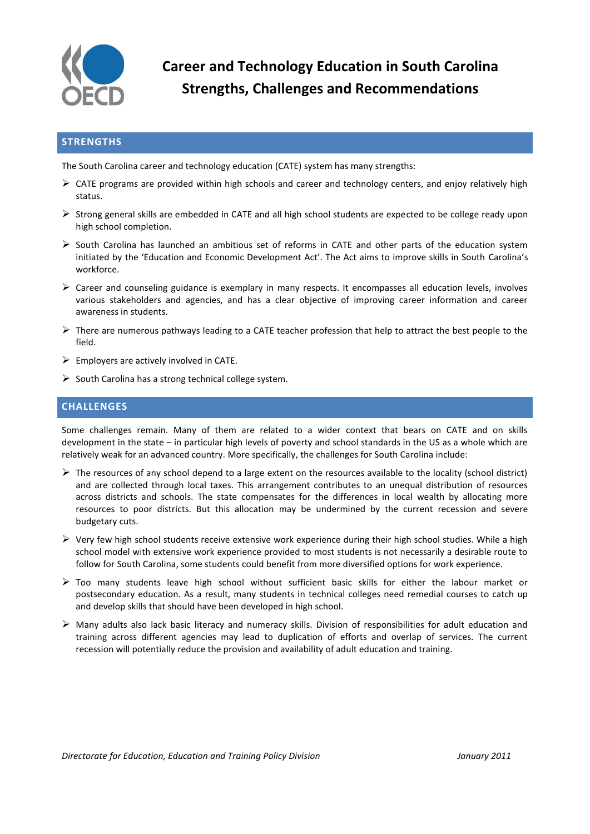

**Career and Technology Education in South Carolina Strengths, Challenges and Recommendations**

## **STRENGTHS**

The South Carolina career and technology education (CATE) system has many strengths:

- $\triangleright$  CATE programs are provided within high schools and career and technology centers, and enjoy relatively high status.
- $\triangleright$  Strong general skills are embedded in CATE and all high school students are expected to be college ready upon high school completion.
- $\triangleright$  South Carolina has launched an ambitious set of reforms in CATE and other parts of the education system initiated by the 'Education and Economic Development Act'. The Act aims to improve skills in South Carolina's workforce.
- $\triangleright$  Career and counseling guidance is exemplary in many respects. It encompasses all education levels, involves various stakeholders and agencies, and has a clear objective of improving career information and career awareness in students.
- $\triangleright$  There are numerous pathways leading to a CATE teacher profession that help to attract the best people to the field.
- $\triangleright$  Employers are actively involved in CATE.
- $\triangleright$  South Carolina has a strong technical college system.

## **CHALLENGES**

Some challenges remain. Many of them are related to a wider context that bears on CATE and on skills development in the state – in particular high levels of poverty and school standards in the US as a whole which are relatively weak for an advanced country. More specifically, the challenges for South Carolina include:

- $\triangleright$  The resources of any school depend to a large extent on the resources available to the locality (school district) and are collected through local taxes. This arrangement contributes to an unequal distribution of resources across districts and schools. The state compensates for the differences in local wealth by allocating more resources to poor districts. But this allocation may be undermined by the current recession and severe budgetary cuts.
- $\triangleright$  Very few high school students receive extensive work experience during their high school studies. While a high school model with extensive work experience provided to most students is not necessarily a desirable route to follow for South Carolina, some students could benefit from more diversified options for work experience.
- $\triangleright$  Too many students leave high school without sufficient basic skills for either the labour market or postsecondary education. As a result, many students in technical colleges need remedial courses to catch up and develop skills that should have been developed in high school.
- $\triangleright$  Many adults also lack basic literacy and numeracy skills. Division of responsibilities for adult education and training across different agencies may lead to duplication of efforts and overlap of services. The current recession will potentially reduce the provision and availability of adult education and training.